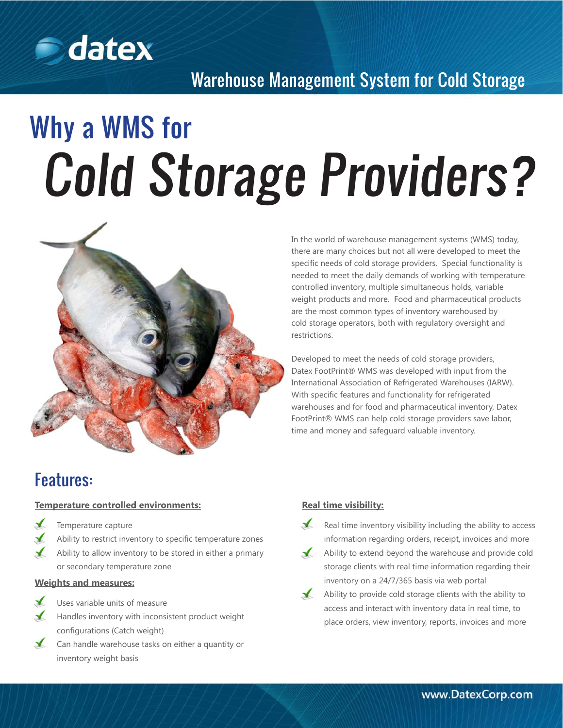

## Warehouse Management System for Cold Storage

# Why a WMS for Cold Storage Providers?



In the world of warehouse management systems (WMS) today, there are many choices but not all were developed to meet the specific needs of cold storage providers. Special functionality is needed to meet the daily demands of working with temperature controlled inventory, multiple simultaneous holds, variable weight products and more. Food and pharmaceutical products are the most common types of inventory warehoused by cold storage operators, both with regulatory oversight and restrictions.

Developed to meet the needs of cold storage providers, Datex FootPrint® WMS was developed with input from the International Association of Refrigerated Warehouses (IARW). With specific features and functionality for refrigerated warehouses and for food and pharmaceutical inventory, Datex FootPrint® WMS can help cold storage providers save labor, time and money and safeguard valuable inventory.

## Features:

#### **Temperature controlled environments:**

- Temperature capture
- Ability to restrict inventory to specific temperature zones
- $\checkmark$ Ability to allow inventory to be stored in either a primary or secondary temperature zone

#### **Weights and measures:**



- Uses variable units of measure
- Handles inventory with inconsistent product weight configurations (Catch weight)
- Can handle warehouse tasks on either a quantity or inventory weight basis

#### **Real time visibility:**

- $\mathbf{r}$ Real time inventory visibility including the ability to access information regarding orders, receipt, invoices and more
- $\sqrt{ }$ Ability to extend beyond the warehouse and provide cold storage clients with real time information regarding their inventory on a 24/7/365 basis via web portal
- $\sqrt{ }$ Ability to provide cold storage clients with the ability to access and interact with inventory data in real time, to place orders, view inventory, reports, invoices and more